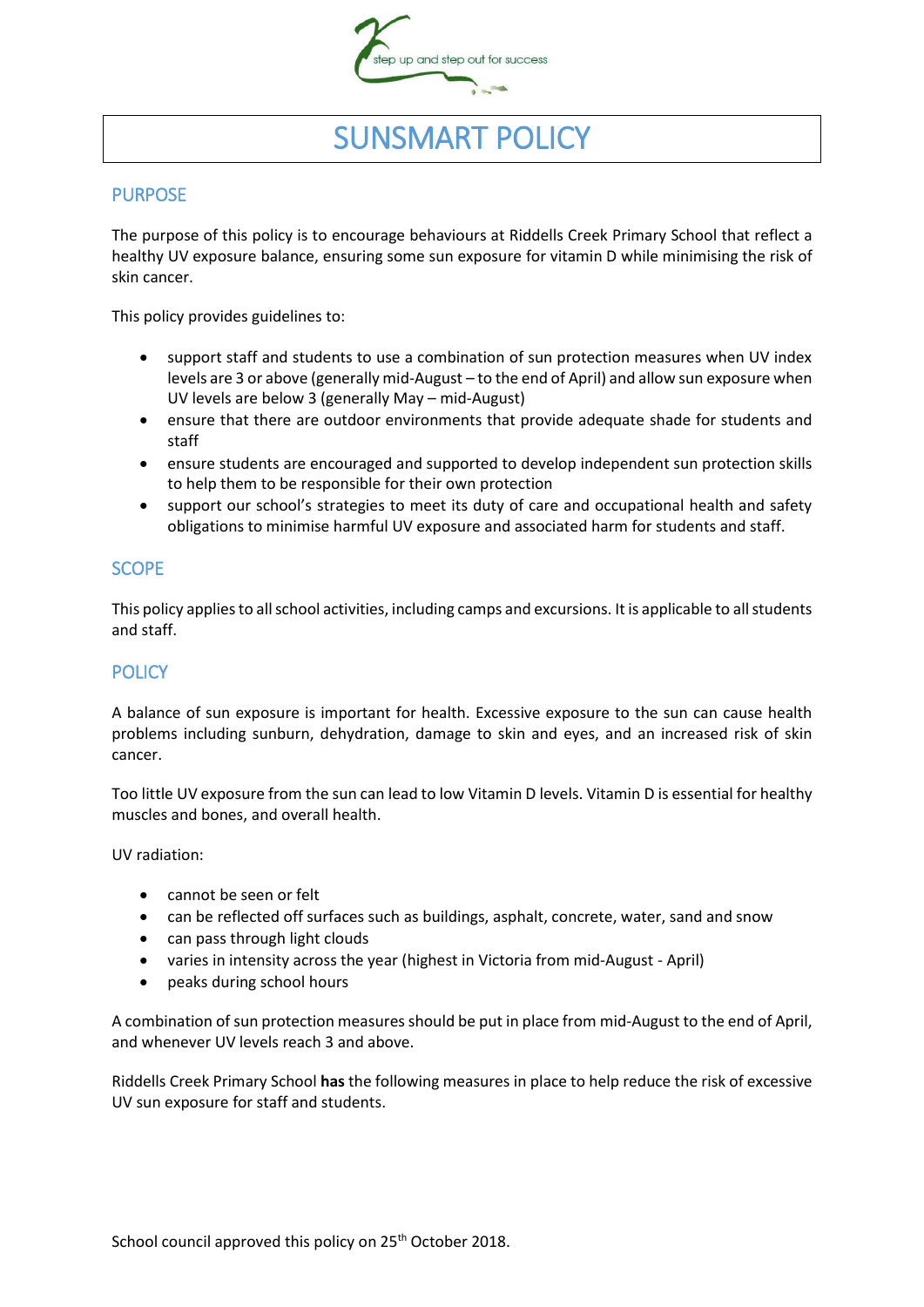

# SUNSMART POLICY

## PURPOSE

The purpose of this policy is to encourage behaviours at Riddells Creek Primary School that reflect a healthy UV exposure balance, ensuring some sun exposure for vitamin D while minimising the risk of skin cancer.

This policy provides guidelines to:

- support staff and students to use a combination of sun protection measures when UV index levels are 3 or above (generally mid-August – to the end of April) and allow sun exposure when UV levels are below 3 (generally May – mid-August)
- ensure that there are outdoor environments that provide adequate shade for students and staff
- ensure students are encouraged and supported to develop independent sun protection skills to help them to be responsible for their own protection
- support our school's strategies to meet its duty of care and occupational health and safety obligations to minimise harmful UV exposure and associated harm for students and staff.

### **SCOPE**

This policy applies to all school activities, including camps and excursions. It is applicable to all students and staff.

## **POLICY**

A balance of sun exposure is important for health. Excessive exposure to the sun can cause health problems including sunburn, dehydration, damage to skin and eyes, and an increased risk of skin cancer.

Too little UV exposure from the sun can lead to low Vitamin D levels. Vitamin D is essential for healthy muscles and bones, and overall health.

UV radiation:

- cannot be seen or felt
- can be reflected off surfaces such as buildings, asphalt, concrete, water, sand and snow
- can pass through light clouds
- varies in intensity across the year (highest in Victoria from mid-August April)
- peaks during school hours

A combination of sun protection measures should be put in place from mid-August to the end of April, and whenever UV levels reach 3 and above.

Riddells Creek Primary School **has** the following measures in place to help reduce the risk of excessive UV sun exposure for staff and students.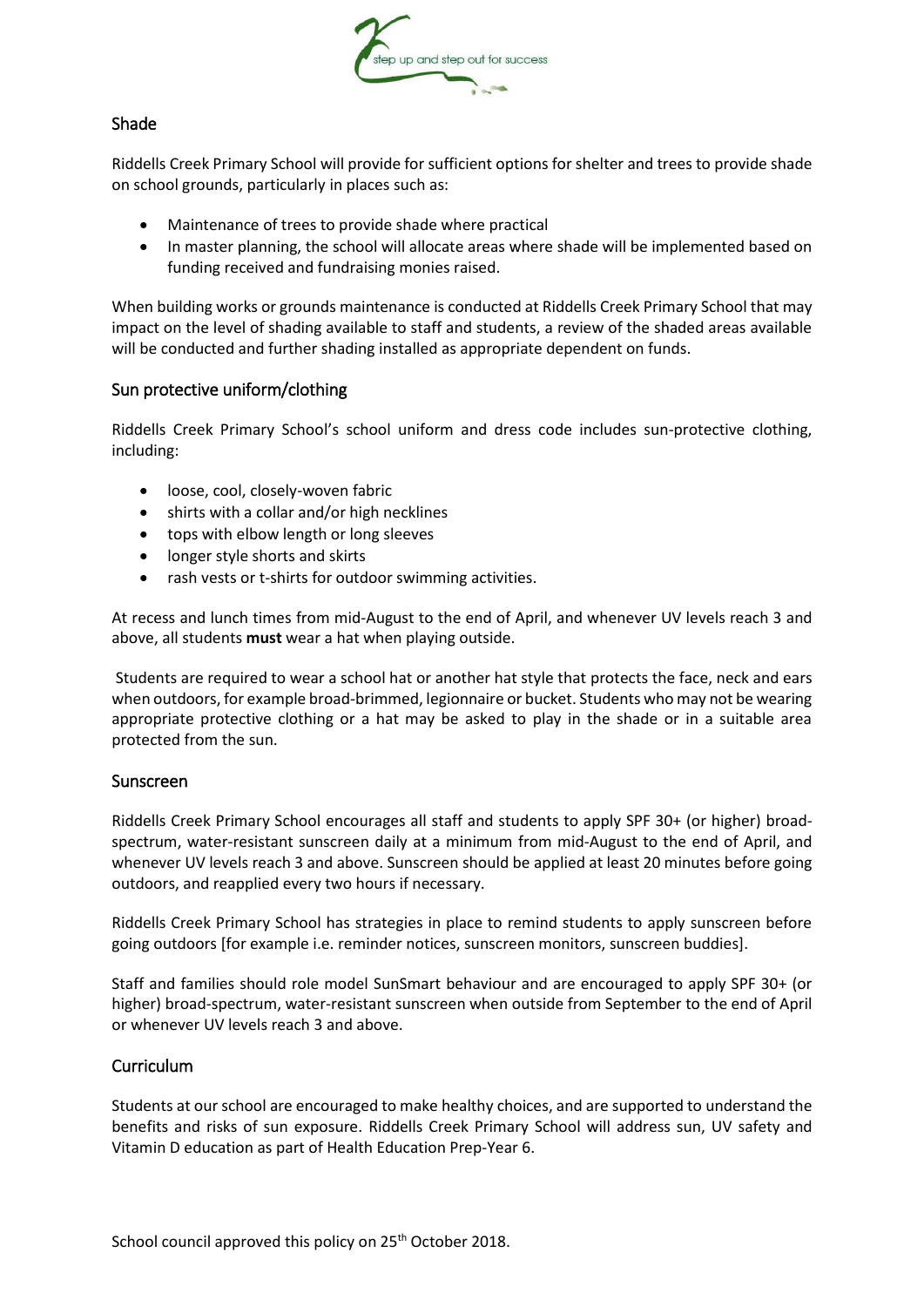

### Shade

Riddells Creek Primary School will provide for sufficient options for shelter and trees to provide shade on school grounds, particularly in places such as:

- Maintenance of trees to provide shade where practical
- In master planning, the school will allocate areas where shade will be implemented based on funding received and fundraising monies raised.

When building works or grounds maintenance is conducted at Riddells Creek Primary School that may impact on the level of shading available to staff and students, a review of the shaded areas available will be conducted and further shading installed as appropriate dependent on funds.

#### Sun protective uniform/clothing

Riddells Creek Primary School's school uniform and dress code includes sun-protective clothing, including:

- loose, cool, closely-woven fabric
- shirts with a collar and/or high necklines
- tops with elbow length or long sleeves
- longer style shorts and skirts
- rash vests or t-shirts for outdoor swimming activities.

At recess and lunch times from mid-August to the end of April, and whenever UV levels reach 3 and above, all students **must** wear a hat when playing outside.

Students are required to wear a school hat or another hat style that protects the face, neck and ears when outdoors, for example broad-brimmed, legionnaire or bucket. Students who may not be wearing appropriate protective clothing or a hat may be asked to play in the shade or in a suitable area protected from the sun.

#### Sunscreen

Riddells Creek Primary School encourages all staff and students to apply SPF 30+ (or higher) broadspectrum, water-resistant sunscreen daily at a minimum from mid-August to the end of April, and whenever UV levels reach 3 and above. Sunscreen should be applied at least 20 minutes before going outdoors, and reapplied every two hours if necessary.

Riddells Creek Primary School has strategies in place to remind students to apply sunscreen before going outdoors [for example i.e. reminder notices, sunscreen monitors, sunscreen buddies].

Staff and families should role model SunSmart behaviour and are encouraged to apply SPF 30+ (or higher) broad-spectrum, water-resistant sunscreen when outside from September to the end of April or whenever UV levels reach 3 and above.

#### Curriculum

Students at our school are encouraged to make healthy choices, and are supported to understand the benefits and risks of sun exposure. Riddells Creek Primary School will address sun, UV safety and Vitamin D education as part of Health Education Prep-Year 6.